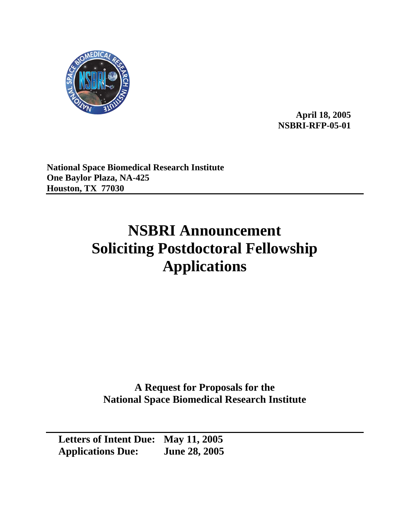

**April 18, 2005 NSBRI-RFP-05-01** 

**National Space Biomedical Research Institute One Baylor Plaza, NA-425 Houston, TX 77030** 

# **NSBRI Announcement Soliciting Postdoctoral Fellowship Applications**

**A Request for Proposals for the National Space Biomedical Research Institute** 

**Letters of Intent Due: May 11, 2005 Applications Due: June 28, 2005**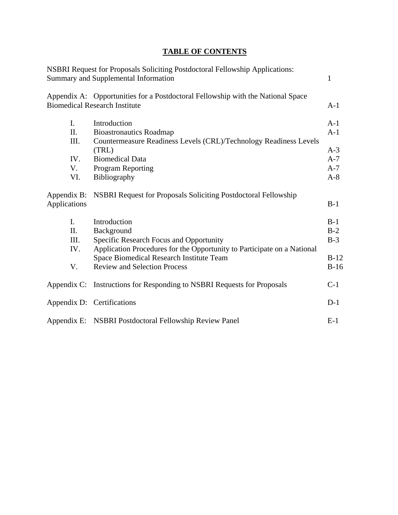# **TABLE OF CONTENTS**

|                                           | NSBRI Request for Proposals Soliciting Postdoctoral Fellowship Applications:<br>Summary and Supplemental Information                                                                                                                | 1                                                  |
|-------------------------------------------|-------------------------------------------------------------------------------------------------------------------------------------------------------------------------------------------------------------------------------------|----------------------------------------------------|
|                                           | Appendix A: Opportunities for a Postdoctoral Fellowship with the National Space<br><b>Biomedical Research Institute</b>                                                                                                             | $A-1$                                              |
| I.<br>Π.<br>III.<br>IV.<br>V.<br>VI.      | Introduction<br><b>Bioastronautics Roadmap</b><br>Countermeasure Readiness Levels (CRL)/Technology Readiness Levels<br>(TRL)<br><b>Biomedical Data</b><br><b>Program Reporting</b><br>Bibliography                                  | $A-1$<br>$A-1$<br>$A-3$<br>$A-7$<br>$A-7$<br>$A-8$ |
| Appendix B:<br>Applications               | <b>NSBRI Request for Proposals Soliciting Postdoctoral Fellowship</b>                                                                                                                                                               | $B-1$                                              |
| $\mathbf{I}$ .<br>Π.<br>III.<br>IV.<br>V. | Introduction<br>Background<br>Specific Research Focus and Opportunity<br>Application Procedures for the Opportunity to Participate on a National<br>Space Biomedical Research Institute Team<br><b>Review and Selection Process</b> | $B-1$<br>$B-2$<br>$B-3$<br>$B-12$<br>$B-16$        |
|                                           | Appendix C: Instructions for Responding to NSBRI Requests for Proposals                                                                                                                                                             | $C-1$                                              |
|                                           | Appendix D: Certifications                                                                                                                                                                                                          | $D-1$                                              |
|                                           | Appendix E: NSBRI Postdoctoral Fellowship Review Panel                                                                                                                                                                              | $E-1$                                              |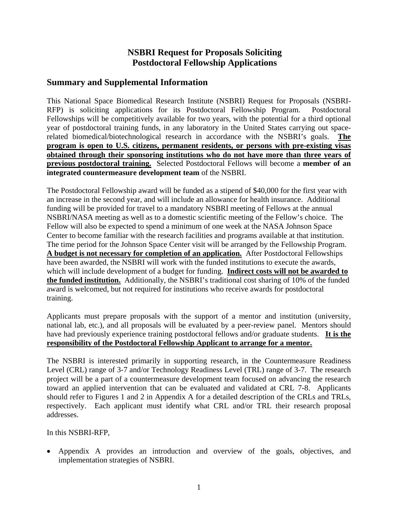# **NSBRI Request for Proposals Soliciting Postdoctoral Fellowship Applications**

## **Summary and Supplemental Information**

This National Space Biomedical Research Institute (NSBRI) Request for Proposals (NSBRI-RFP) is soliciting applications for its Postdoctoral Fellowship Program. Postdoctoral Fellowships will be competitively available for two years, with the potential for a third optional year of postdoctoral training funds, in any laboratory in the United States carrying out spacerelated biomedical/biotechnological research in accordance with the NSBRI's goals. **The program is open to U.S. citizens, permanent residents, or persons with pre-existing visas obtained through their sponsoring institutions who do not have more than three years of previous postdoctoral training.** Selected Postdoctoral Fellows will become a **member of an integrated countermeasure development team** of the NSBRI.

The Postdoctoral Fellowship award will be funded as a stipend of \$40,000 for the first year with an increase in the second year, and will include an allowance for health insurance. Additional funding will be provided for travel to a mandatory NSBRI meeting of Fellows at the annual NSBRI/NASA meeting as well as to a domestic scientific meeting of the Fellow's choice. The Fellow will also be expected to spend a minimum of one week at the NASA Johnson Space Center to become familiar with the research facilities and programs available at that institution. The time period for the Johnson Space Center visit will be arranged by the Fellowship Program. **A budget is not necessary for completion of an application.** After Postdoctoral Fellowships have been awarded, the NSBRI will work with the funded institutions to execute the awards, which will include development of a budget for funding. **Indirect costs will not be awarded to the funded institution.** Additionally, the NSBRI's traditional cost sharing of 10% of the funded award is welcomed, but not required for institutions who receive awards for postdoctoral training.

Applicants must prepare proposals with the support of a mentor and institution (university, national lab, etc.), and all proposals will be evaluated by a peer-review panel. Mentors should have had previously experience training postdoctoral fellows and/or graduate students. **It is the responsibility of the Postdoctoral Fellowship Applicant to arrange for a mentor.**

The NSBRI is interested primarily in supporting research, in the Countermeasure Readiness Level (CRL) range of 3-7 and/or Technology Readiness Level (TRL) range of 3-7. The research project will be a part of a countermeasure development team focused on advancing the research toward an applied intervention that can be evaluated and validated at CRL 7-8. Applicants should refer to Figures 1 and 2 in Appendix A for a detailed description of the CRLs and TRLs, respectively. Each applicant must identify what CRL and/or TRL their research proposal addresses.

In this NSBRI-RFP,

• Appendix A provides an introduction and overview of the goals, objectives, and implementation strategies of NSBRI.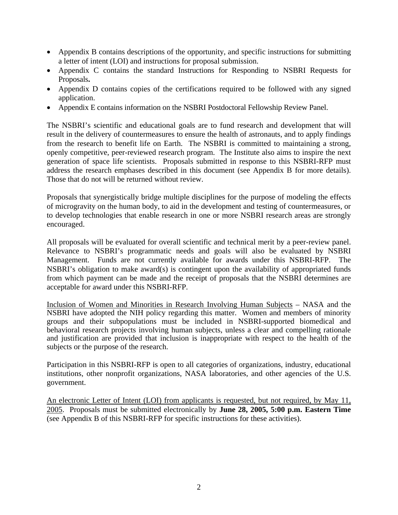- Appendix B contains descriptions of the opportunity, and specific instructions for submitting a letter of intent (LOI) and instructions for proposal submission.
- Appendix C contains the standard Instructions for Responding to NSBRI Requests for Proposals**.**
- Appendix D contains copies of the certifications required to be followed with any signed application.
- Appendix E contains information on the NSBRI Postdoctoral Fellowship Review Panel.

The NSBRI's scientific and educational goals are to fund research and development that will result in the delivery of countermeasures to ensure the health of astronauts, and to apply findings from the research to benefit life on Earth. The NSBRI is committed to maintaining a strong, openly competitive, peer-reviewed research program. The Institute also aims to inspire the next generation of space life scientists. Proposals submitted in response to this NSBRI-RFP must address the research emphases described in this document (see Appendix B for more details). Those that do not will be returned without review.

Proposals that synergistically bridge multiple disciplines for the purpose of modeling the effects of microgravity on the human body, to aid in the development and testing of countermeasures, or to develop technologies that enable research in one or more NSBRI research areas are strongly encouraged.

All proposals will be evaluated for overall scientific and technical merit by a peer-review panel. Relevance to NSBRI's programmatic needs and goals will also be evaluated by NSBRI Management. Funds are not currently available for awards under this NSBRI-RFP. The NSBRI's obligation to make award(s) is contingent upon the availability of appropriated funds from which payment can be made and the receipt of proposals that the NSBRI determines are acceptable for award under this NSBRI-RFP.

Inclusion of Women and Minorities in Research Involving Human Subjects – NASA and the NSBRI have adopted the NIH policy regarding this matter. Women and members of minority groups and their subpopulations must be included in NSBRI-supported biomedical and behavioral research projects involving human subjects, unless a clear and compelling rationale and justification are provided that inclusion is inappropriate with respect to the health of the subjects or the purpose of the research.

Participation in this NSBRI-RFP is open to all categories of organizations, industry, educational institutions, other nonprofit organizations, NASA laboratories, and other agencies of the U.S. government.

An electronic Letter of Intent (LOI) from applicants is requested, but not required, by May 11, 2005. Proposals must be submitted electronically by **June 28, 2005, 5:00 p.m. Eastern Time** (see Appendix B of this NSBRI-RFP for specific instructions for these activities).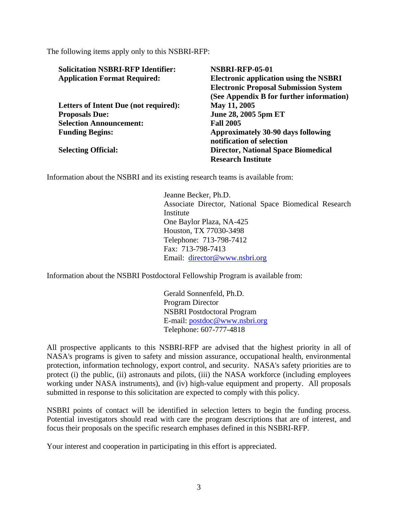The following items apply only to this NSBRI-RFP:

| <b>Solicitation NSBRI-RFP Identifier:</b> | <b>NSBRI-RFP-05-01</b>                        |  |  |
|-------------------------------------------|-----------------------------------------------|--|--|
| <b>Application Format Required:</b>       | <b>Electronic application using the NSBRI</b> |  |  |
|                                           | <b>Electronic Proposal Submission System</b>  |  |  |
|                                           | (See Appendix B for further information)      |  |  |
| Letters of Intent Due (not required):     | May 11, 2005                                  |  |  |
| <b>Proposals Due:</b>                     | June 28, 2005 5pm ET                          |  |  |
| <b>Selection Announcement:</b>            | <b>Fall 2005</b>                              |  |  |
| <b>Funding Begins:</b>                    | Approximately 30-90 days following            |  |  |
|                                           | notification of selection                     |  |  |
| <b>Selecting Official:</b>                | <b>Director, National Space Biomedical</b>    |  |  |
|                                           | <b>Research Institute</b>                     |  |  |

Information about the NSBRI and its existing research teams is available from:

Jeanne Becker, Ph.D. Associate Director, National Space Biomedical Research Institute One Baylor Plaza, NA-425 Houston, TX 77030-3498 Telephone: 713-798-7412 Fax: 713-798-7413 Email: [director@www.nsbri.org](mailto:director@www.nsbri.org)

Information about the NSBRI Postdoctoral Fellowship Program is available from:

 Gerald Sonnenfeld, Ph.D. Program Director NSBRI Postdoctoral Program E-mail: [postdoc@www.nsbri.org](mailto:postdoc@www.nsbri.org) Telephone: 607-777-4818

All prospective applicants to this NSBRI-RFP are advised that the highest priority in all of NASA's programs is given to safety and mission assurance, occupational health, environmental protection, information technology, export control, and security. NASA's safety priorities are to protect (i) the public, (ii) astronauts and pilots, (iii) the NASA workforce (including employees working under NASA instruments), and (iv) high-value equipment and property. All proposals submitted in response to this solicitation are expected to comply with this policy.

NSBRI points of contact will be identified in selection letters to begin the funding process. Potential investigators should read with care the program descriptions that are of interest, and focus their proposals on the specific research emphases defined in this NSBRI-RFP.

Your interest and cooperation in participating in this effort is appreciated.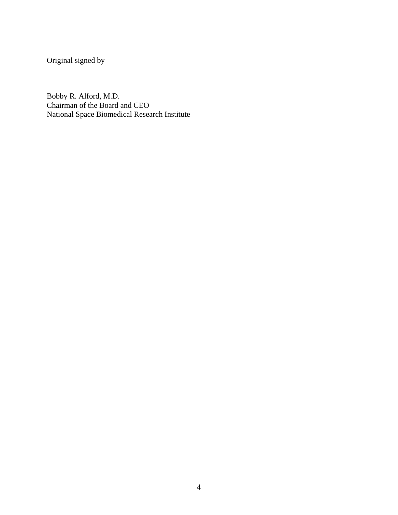Original signed by

Bobby R. Alford, M.D. Chairman of the Board and CEO National Space Biomedical Research Institute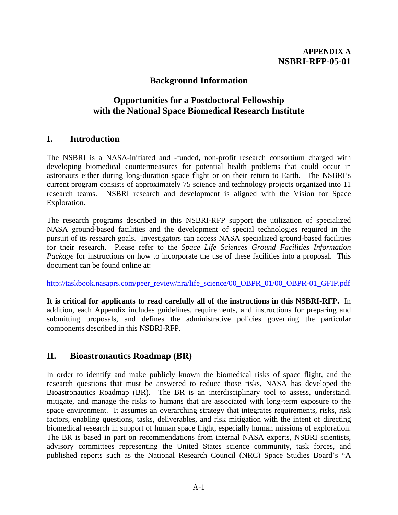# **Background Information**

# **Opportunities for a Postdoctoral Fellowship with the National Space Biomedical Research Institute**

# **I. Introduction**

The NSBRI is a NASA-initiated and -funded, non-profit research consortium charged with developing biomedical countermeasures for potential health problems that could occur in astronauts either during long-duration space flight or on their return to Earth. The NSBRI's current program consists of approximately 75 science and technology projects organized into 11 research teams. NSBRI research and development is aligned with the Vision for Space Exploration.

The research programs described in this NSBRI-RFP support the utilization of specialized NASA ground-based facilities and the development of special technologies required in the pursuit of its research goals. Investigators can access NASA specialized ground-based facilities for their research. Please refer to the *Space Life Sciences Ground Facilities Information Package* for instructions on how to incorporate the use of these facilities into a proposal. This document can be found online at:

[http://taskbook.nasaprs.com/peer\\_review/nra/life\\_science/00\\_OBPR\\_01/00\\_OBPR-01\\_GFIP.pdf](http://taskbook.nasaprs.com/peer_review/nra/life_science/00_OBPR_01/00_OBPR-01_GFIP.pdf)

**It is critical for applicants to read carefully all of the instructions in this NSBRI-RFP.** In addition, each Appendix includes guidelines, requirements, and instructions for preparing and submitting proposals, and defines the administrative policies governing the particular components described in this NSBRI-RFP.

# **II. Bioastronautics Roadmap (BR)**

In order to identify and make publicly known the biomedical risks of space flight, and the research questions that must be answered to reduce those risks, NASA has developed the Bioastronautics Roadmap (BR). The BR is an interdisciplinary tool to assess, understand, mitigate, and manage the risks to humans that are associated with long-term exposure to the space environment. It assumes an overarching strategy that integrates requirements, risks, risk factors, enabling questions, tasks, deliverables, and risk mitigation with the intent of directing biomedical research in support of human space flight, especially human missions of exploration. The BR is based in part on recommendations from internal NASA experts, NSBRI scientists, advisory committees representing the United States science community, task forces, and published reports such as the National Research Council (NRC) Space Studies Board's "A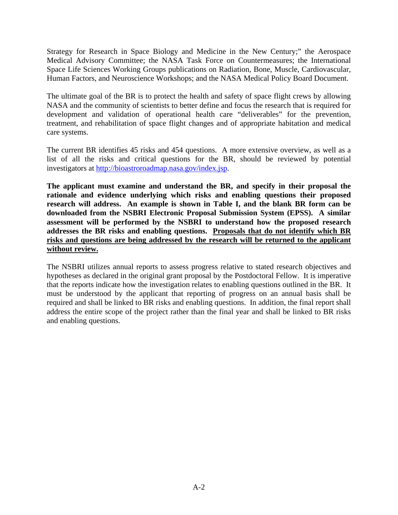Strategy for Research in Space Biology and Medicine in the New Century;" the Aerospace Medical Advisory Committee; the NASA Task Force on Countermeasures; the International Space Life Sciences Working Groups publications on Radiation, Bone, Muscle, Cardiovascular, Human Factors, and Neuroscience Workshops; and the NASA Medical Policy Board Document.

The ultimate goal of the BR is to protect the health and safety of space flight crews by allowing NASA and the community of scientists to better define and focus the research that is required for development and validation of operational health care "deliverables" for the prevention, treatment, and rehabilitation of space flight changes and of appropriate habitation and medical care systems.

The current BR identifies 45 risks and 454 questions. A more extensive overview, as well as a list of all the risks and critical questions for the BR, should be reviewed by potential investigators at [http://bioastroroadmap.nasa.gov/index.jsp.](http://bioastroroadmap.nasa.gov/index.jsp)

**The applicant must examine and understand the BR, and specify in their proposal the rationale and evidence underlying which risks and enabling questions their proposed research will address. An example is shown in Table I, and the blank BR form can be downloaded from the NSBRI Electronic Proposal Submission System (EPSS). A similar assessment will be performed by the NSBRI to understand how the proposed research addresses the BR risks and enabling questions. Proposals that do not identify which BR risks and questions are being addressed by the research will be returned to the applicant without review.**

The NSBRI utilizes annual reports to assess progress relative to stated research objectives and hypotheses as declared in the original grant proposal by the Postdoctoral Fellow. It is imperative that the reports indicate how the investigation relates to enabling questions outlined in the BR. It must be understood by the applicant that reporting of progress on an annual basis shall be required and shall be linked to BR risks and enabling questions. In addition, the final report shall address the entire scope of the project rather than the final year and shall be linked to BR risks and enabling questions.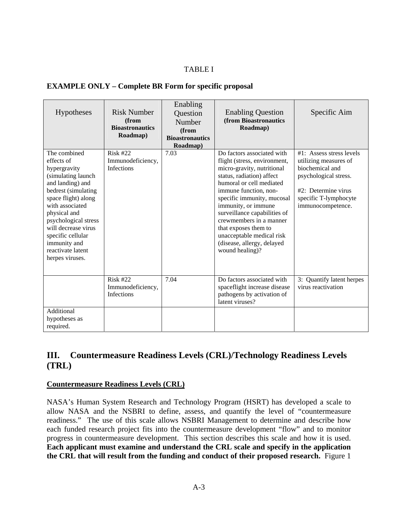## TABLE I

#### **EXAMPLE ONLY – Complete BR Form for specific proposal**

| Hypotheses                                                                                                                                                                                                                                                                                        | <b>Risk Number</b><br>(from<br><b>Bioastronautics</b><br>Roadmap) | Enabling<br>Question<br>Number<br>(from<br><b>Bioastronautics</b><br>Roadmap) | <b>Enabling Question</b><br>(from Bioastronautics<br>Roadmap)                                                                                                                                                                                                                                                                                                                                    | Specific Aim                                                                                                                                                          |
|---------------------------------------------------------------------------------------------------------------------------------------------------------------------------------------------------------------------------------------------------------------------------------------------------|-------------------------------------------------------------------|-------------------------------------------------------------------------------|--------------------------------------------------------------------------------------------------------------------------------------------------------------------------------------------------------------------------------------------------------------------------------------------------------------------------------------------------------------------------------------------------|-----------------------------------------------------------------------------------------------------------------------------------------------------------------------|
| The combined<br>effects of<br>hypergravity<br>(simulating launch<br>and landing) and<br>bedrest (simulating<br>space flight) along<br>with associated<br>physical and<br>psychological stress<br>will decrease virus<br>specific cellular<br>immunity and<br>reactivate latent<br>herpes viruses. | $Risk$ #22<br>Immunodeficiency,<br><b>Infections</b>              | 7.03                                                                          | Do factors associated with<br>flight (stress, environment,<br>micro-gravity, nutritional<br>status, radiation) affect<br>humoral or cell mediated<br>immune function, non-<br>specific immunity, mucosal<br>immunity, or immune<br>surveillance capabilities of<br>crewmembers in a manner<br>that exposes them to<br>unacceptable medical risk<br>(disease, allergy, delayed<br>wound healing)? | $#1$ : Assess stress levels<br>utilizing measures of<br>biochemical and<br>psychological stress.<br>#2: Determine virus<br>specific T-lymphocyte<br>immunocompetence. |
|                                                                                                                                                                                                                                                                                                   | <b>Risk #22</b><br>Immunodeficiency,<br>Infections                | 7.04                                                                          | Do factors associated with<br>spaceflight increase disease<br>pathogens by activation of<br>latent viruses?                                                                                                                                                                                                                                                                                      | 3: Quantify latent herpes<br>virus reactivation                                                                                                                       |
| Additional<br>hypotheses as<br>required.                                                                                                                                                                                                                                                          |                                                                   |                                                                               |                                                                                                                                                                                                                                                                                                                                                                                                  |                                                                                                                                                                       |

# **III. Countermeasure Readiness Levels (CRL)/Technology Readiness Levels (TRL)**

#### **Countermeasure Readiness Levels (CRL)**

NASA's Human System Research and Technology Program (HSRT) has developed a scale to allow NASA and the NSBRI to define, assess, and quantify the level of "countermeasure readiness." The use of this scale allows NSBRI Management to determine and describe how each funded research project fits into the countermeasure development "flow" and to monitor progress in countermeasure development. This section describes this scale and how it is used. **Each applicant must examine and understand the CRL scale and specify in the application the CRL that will result from the funding and conduct of their proposed research.** Figure 1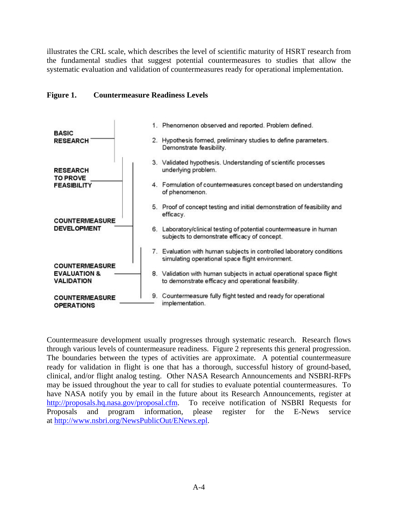illustrates the CRL scale, which describes the level of scientific maturity of HSRT research from the fundamental studies that suggest potential countermeasures to studies that allow the systematic evaluation and validation of countermeasures ready for operational implementation.

### **Figure 1. Countermeasure Readiness Levels**



Countermeasure development usually progresses through systematic research. Research flows through various levels of countermeasure readiness. Figure 2 represents this general progression. The boundaries between the types of activities are approximate. A potential countermeasure ready for validation in flight is one that has a thorough, successful history of ground-based, clinical, and/or flight analog testing. Other NASA Research Announcements and NSBRI-RFPs may be issued throughout the year to call for studies to evaluate potential countermeasures. To have NASA notify you by email in the future about its Research Announcements, register at <http://proposals.hq.nasa.gov/proposal.cfm>. To receive notification of NSBRI Requests for Proposals and program information, please register for the E-News service at <http://www.nsbri.org/NewsPublicOut/ENews.epl>.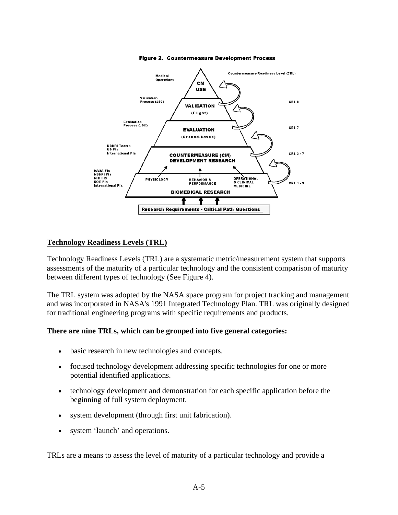

Figure 2. Countermeasure Development Process

### **Technology Readiness Levels (TRL)**

Technology Readiness Levels (TRL) are a systematic metric/measurement system that supports assessments of the maturity of a particular technology and the consistent comparison of maturity between different types of technology (See Figure 4).

The TRL system was adopted by the NASA space program for project tracking and management and was incorporated in NASA's 1991 Integrated Technology Plan. TRL was originally designed for traditional engineering programs with specific requirements and products.

#### **There are nine TRLs, which can be grouped into five general categories:**

- basic research in new technologies and concepts.
- focused technology development addressing specific technologies for one or more potential identified applications.
- technology development and demonstration for each specific application before the beginning of full system deployment.
- system development (through first unit fabrication).
- system 'launch' and operations.

TRLs are a means to assess the level of maturity of a particular technology and provide a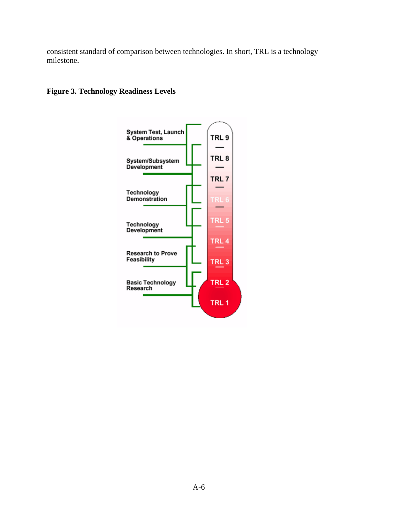consistent standard of comparison between technologies. In short, TRL is a technology milestone.

## **Figure 3. Technology Readiness Levels**

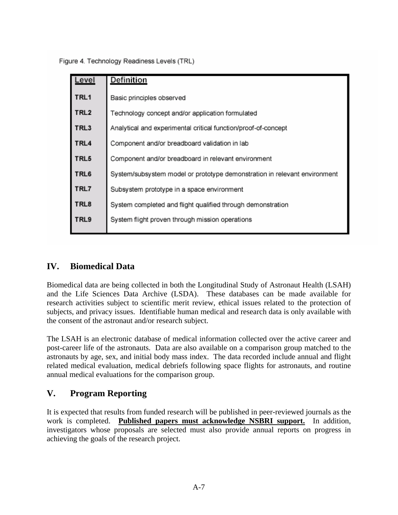Figure 4. Technology Readiness Levels (TRL)

| Level            | <b>Definition</b>                                                         |  |  |
|------------------|---------------------------------------------------------------------------|--|--|
| TRL1             | Basic principles observed                                                 |  |  |
| TRL <sub>2</sub> | Technology concept and/or application formulated                          |  |  |
| TRL3             | Analytical and experimental critical function/proof-of-concept            |  |  |
| TRL4             | Component and/or breadboard validation in lab                             |  |  |
| TRL5             | Component and/or breadboard in relevant environment                       |  |  |
| TRL6             | System/subsystem model or prototype demonstration in relevant environment |  |  |
| TRL7             | Subsystem prototype in a space environment                                |  |  |
| TRL8             | System completed and flight qualified through demonstration               |  |  |
| TRL9             | System flight proven through mission operations                           |  |  |

# **IV. Biomedical Data**

Biomedical data are being collected in both the Longitudinal Study of Astronaut Health (LSAH) and the Life Sciences Data Archive (LSDA). These databases can be made available for research activities subject to scientific merit review, ethical issues related to the protection of subjects, and privacy issues. Identifiable human medical and research data is only available with the consent of the astronaut and/or research subject.

The LSAH is an electronic database of medical information collected over the active career and post-career life of the astronauts. Data are also available on a comparison group matched to the astronauts by age, sex, and initial body mass index. The data recorded include annual and flight related medical evaluation, medical debriefs following space flights for astronauts, and routine annual medical evaluations for the comparison group.

# **V. Program Reporting**

It is expected that results from funded research will be published in peer-reviewed journals as the work is completed. **Published papers must acknowledge NSBRI support.** In addition, investigators whose proposals are selected must also provide annual reports on progress in achieving the goals of the research project.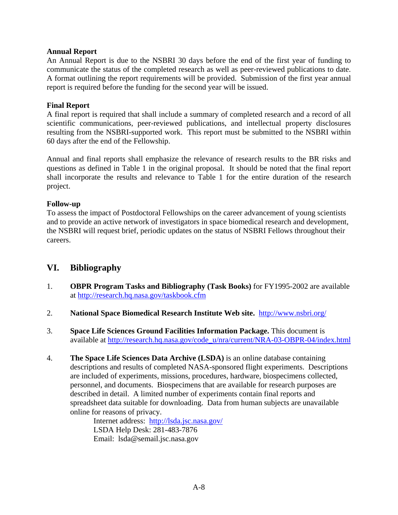#### **Annual Report**

An Annual Report is due to the NSBRI 30 days before the end of the first year of funding to communicate the status of the completed research as well as peer-reviewed publications to date. A format outlining the report requirements will be provided. Submission of the first year annual report is required before the funding for the second year will be issued.

#### **Final Report**

A final report is required that shall include a summary of completed research and a record of all scientific communications, peer-reviewed publications, and intellectual property disclosures resulting from the NSBRI-supported work. This report must be submitted to the NSBRI within 60 days after the end of the Fellowship.

Annual and final reports shall emphasize the relevance of research results to the BR risks and questions as defined in Table 1 in the original proposal. It should be noted that the final report shall incorporate the results and relevance to Table 1 for the entire duration of the research project.

### **Follow-up**

To assess the impact of Postdoctoral Fellowships on the career advancement of young scientists and to provide an active network of investigators in space biomedical research and development, the NSBRI will request brief, periodic updates on the status of NSBRI Fellows throughout their careers.

## **VI. Bibliography**

- 1. **OBPR Program Tasks and Bibliography (Task Books)** for FY1995-2002 are available at <http://research.hq.nasa.gov/taskbook.cfm>
- 2. **National Space Biomedical Research Institute Web site.** <http://www.nsbri.org/>
- 3. **Space Life Sciences Ground Facilities Information Package.** This document is available at [http://research.hq.nasa.gov/code\\_u/nra/current/NRA-03-OBPR-04/index.html](http://research.hq.nasa.gov/code_u/nra/current/NRA-03-OBPR-04/index.html)
- 4. **The Space Life Sciences Data Archive (LSDA)** is an online database containing descriptions and results of completed NASA-sponsored flight experiments. Descriptions are included of experiments, missions, procedures, hardware, biospecimens collected, personnel, and documents. Biospecimens that are available for research purposes are described in detail. A limited number of experiments contain final reports and spreadsheet data suitable for downloading. Data from human subjects are unavailable online for reasons of privacy.

Internet address: <http://lsda.jsc.nasa.gov/> LSDA Help Desk: 281-483-7876 Email: lsda@semail.jsc.nasa.gov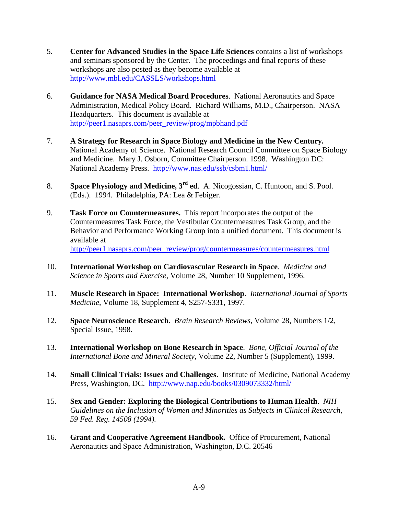- 5. **Center for Advanced Studies in the Space Life Sciences** contains a list of workshops and seminars sponsored by the Center. The proceedings and final reports of these workshops are also posted as they become available at <http://www.mbl.edu/CASSLS/workshops.html>
- 6. **Guidance for NASA Medical Board Procedures**. National Aeronautics and Space Administration, Medical Policy Board. Richard Williams, M.D., Chairperson. NASA Headquarters. This document is available at [http://peer1.nasaprs.com/peer\\_review/prog/mpbhand.pdf](http://peer1.nasaprs.com/peer_review/prog/mpbhand.pdf)
- 7. **A Strategy for Research in Space Biology and Medicine in the New Century.** National Academy of Science. National Research Council Committee on Space Biology and Medicine. Mary J. Osborn, Committee Chairperson. 1998. Washington DC: National Academy Press. <http://www.nas.edu/ssb/csbm1.html/>
- 8. **Space Physiology and Medicine, 3rd ed**.A. Nicogossian, C. Huntoon, and S. Pool. (Eds.). 1994. Philadelphia, PA: Lea & Febiger.
- 9. **Task Force on Countermeasures.** This report incorporates the output of the Countermeasures Task Force, the Vestibular Countermeasures Task Group, and the Behavior and Performance Working Group into a unified document. This document is available at [http://peer1.nasaprs.com/peer\\_review/prog/countermeasures/countermeasures.html](http://peer1.nasaprs.com/peer_review/prog/countermeasures/countermeasures.html)
- 10. **International Workshop on Cardiovascular Research in Space**. *Medicine and Science in Sports and Exercise*, Volume 28, Number 10 Supplement, 1996.
- 11. **Muscle Research in Space: International Workshop**. *International Journal of Sports Medicine*, Volume 18, Supplement 4, S257-S331, 1997.
- 12. **Space Neuroscience Research**. *Brain Research Reviews*, Volume 28, Numbers 1/2, Special Issue, 1998.
- 13. **International Workshop on Bone Research in Space**. *Bone, Official Journal of the International Bone and Mineral Society*, Volume 22, Number 5 (Supplement), 1999.
- 14. **Small Clinical Trials: Issues and Challenges.** Institute of Medicine, National Academy Press, Washington, DC. <http://www.nap.edu/books/0309073332/html/>
- 15. **Sex and Gender: Exploring the Biological Contributions to Human Health**. *NIH Guidelines on the Inclusion of Women and Minorities as Subjects in Clinical Research, 59 Fed. Reg. 14508 (1994).*
- 16. **Grant and Cooperative Agreement Handbook.** Office of Procurement, National Aeronautics and Space Administration, Washington, D.C. 20546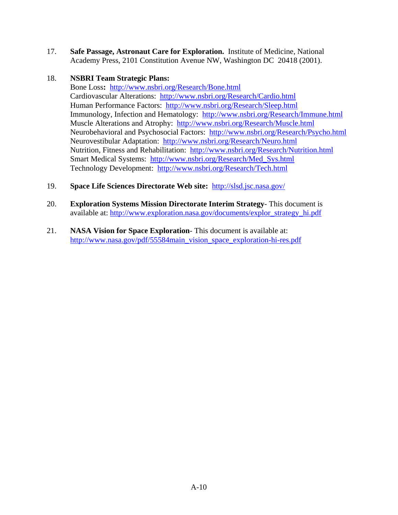17. **Safe Passage, Astronaut Care for Exploration.** Institute of Medicine, National Academy Press, 2101 Constitution Avenue NW, Washington DC 20418 (2001).

## 18. **NSBRI Team Strategic Plans:**

Bone Loss**:** <http://www.nsbri.org/Research/Bone.html> Cardiovascular Alterations: <http://www.nsbri.org/Research/Cardio.html> Human Performance Factors: <http://www.nsbri.org/Research/Sleep.html> Immunology, Infection and Hematology: <http://www.nsbri.org/Research/Immune.html> Muscle Alterations and Atrophy: <http://www.nsbri.org/Research/Muscle.html> Neurobehavioral and Psychosocial Factors: <http://www.nsbri.org/Research/Psycho.html> Neurovestibular Adaptation: <http://www.nsbri.org/Research/Neuro.html> Nutrition, Fitness and Rehabilitation: <http://www.nsbri.org/Research/Nutrition.html> Smart Medical Systems: [http://www.nsbri.org/Research/Med\\_Sys.html](http://www.nsbri.org/Research/Med_Sys.html) Technology Development: <http://www.nsbri.org/Research/Tech.html>

- 19. **Space Life Sciences Directorate Web site:** <http://slsd.jsc.nasa.gov/>
- 20. **Exploration Systems Mission Directorate Interim Strategy** This document is available at: [http://www.exploration.nasa.gov/documents/explor\\_strategy\\_hi.pdf](http://www.exploration.nasa.gov/documents/explor_strategy_hi.pdf)
- 21. **NASA Vision for Space Exploration** This document is available at: [http://www.nasa.gov/pdf/55584main\\_vision\\_space\\_exploration-hi-res.pdf](http://www.nasa.gov/pdf/55584main_vision_space_exploration-hi-res.pdf)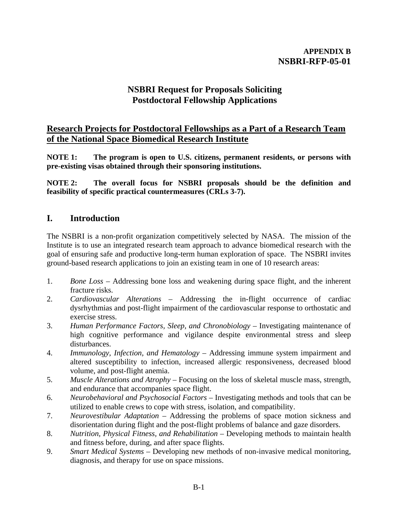## **APPENDIX B NSBRI-RFP-05-01**

# **NSBRI Request for Proposals Soliciting Postdoctoral Fellowship Applications**

## **Research Projects for Postdoctoral Fellowships as a Part of a Research Team of the National Space Biomedical Research Institute**

**NOTE 1: The program is open to U.S. citizens, permanent residents, or persons with pre-existing visas obtained through their sponsoring institutions.**

**NOTE 2: The overall focus for NSBRI proposals should be the definition and feasibility of specific practical countermeasures (CRLs 3-7).** 

## **I. Introduction**

The NSBRI is a non-profit organization competitively selected by NASA. The mission of the Institute is to use an integrated research team approach to advance biomedical research with the goal of ensuring safe and productive long-term human exploration of space. The NSBRI invites ground-based research applications to join an existing team in one of 10 research areas:

- 1. *Bone Loss* Addressing bone loss and weakening during space flight, and the inherent fracture risks.
- 2. *Cardiovascular Alterations* Addressing the in-flight occurrence of cardiac dysrhythmias and post-flight impairment of the cardiovascular response to orthostatic and exercise stress.
- 3. *Human Performance Factors, Sleep, and Chronobiology* Investigating maintenance of high cognitive performance and vigilance despite environmental stress and sleep disturbances.
- 4. *Immunology, Infection, and Hematology* Addressing immune system impairment and altered susceptibility to infection, increased allergic responsiveness, decreased blood volume, and post-flight anemia.
- 5. *Muscle Alterations and Atrophy* Focusing on the loss of skeletal muscle mass, strength, and endurance that accompanies space flight.
- 6. *Neurobehavioral and Psychosocial Factors* Investigating methods and tools that can be utilized to enable crews to cope with stress, isolation, and compatibility.
- 7. *Neurovestibular Adaptation* Addressing the problems of space motion sickness and disorientation during flight and the post-flight problems of balance and gaze disorders.
- 8. *Nutrition, Physical Fitness, and Rehabilitation*  Developing methods to maintain health and fitness before, during, and after space flights.
- 9. *Smart Medical Systems*  Developing new methods of non-invasive medical monitoring, diagnosis, and therapy for use on space missions.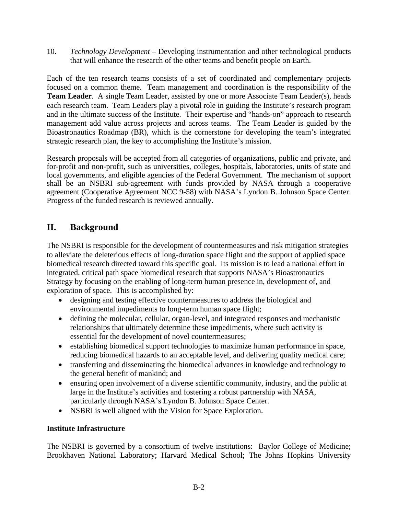10. *Technology Development* – Developing instrumentation and other technological products that will enhance the research of the other teams and benefit people on Earth.

Each of the ten research teams consists of a set of coordinated and complementary projects focused on a common theme. Team management and coordination is the responsibility of the **Team Leader**. A single Team Leader, assisted by one or more Associate Team Leader(s), heads each research team. Team Leaders play a pivotal role in guiding the Institute's research program and in the ultimate success of the Institute. Their expertise and "hands-on" approach to research management add value across projects and across teams. The Team Leader is guided by the Bioastronautics Roadmap (BR), which is the cornerstone for developing the team's integrated strategic research plan, the key to accomplishing the Institute's mission.

Research proposals will be accepted from all categories of organizations, public and private, and for-profit and non-profit, such as universities, colleges, hospitals, laboratories, units of state and local governments, and eligible agencies of the Federal Government. The mechanism of support shall be an NSBRI sub-agreement with funds provided by NASA through a cooperative agreement (Cooperative Agreement NCC 9-58) with NASA's Lyndon B. Johnson Space Center. Progress of the funded research is reviewed annually.

# **II. Background**

The NSBRI is responsible for the development of countermeasures and risk mitigation strategies to alleviate the deleterious effects of long-duration space flight and the support of applied space biomedical research directed toward this specific goal. Its mission is to lead a national effort in integrated, critical path space biomedical research that supports NASA's Bioastronautics Strategy by focusing on the enabling of long-term human presence in, development of, and exploration of space. This is accomplished by:

- designing and testing effective countermeasures to address the biological and environmental impediments to long-term human space flight;
- defining the molecular, cellular, organ-level, and integrated responses and mechanistic relationships that ultimately determine these impediments, where such activity is essential for the development of novel countermeasures;
- establishing biomedical support technologies to maximize human performance in space, reducing biomedical hazards to an acceptable level, and delivering quality medical care;
- transferring and disseminating the biomedical advances in knowledge and technology to the general benefit of mankind; and
- ensuring open involvement of a diverse scientific community, industry, and the public at large in the Institute's activities and fostering a robust partnership with NASA, particularly through NASA's Lyndon B. Johnson Space Center.
- NSBRI is well aligned with the Vision for Space Exploration.

## **Institute Infrastructure**

The NSBRI is governed by a consortium of twelve institutions: Baylor College of Medicine; Brookhaven National Laboratory; Harvard Medical School; The Johns Hopkins University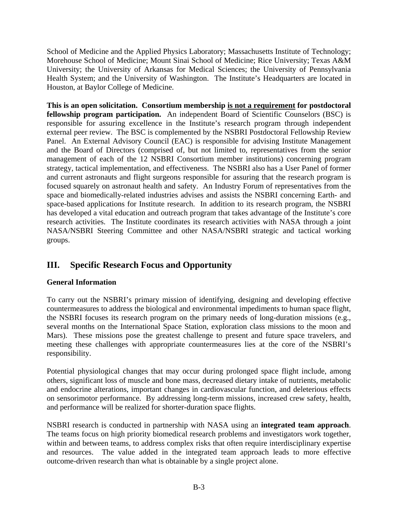School of Medicine and the Applied Physics Laboratory; Massachusetts Institute of Technology; Morehouse School of Medicine; Mount Sinai School of Medicine; Rice University; Texas A&M University; the University of Arkansas for Medical Sciences; the University of Pennsylvania Health System; and the University of Washington. The Institute's Headquarters are located in Houston, at Baylor College of Medicine.

**This is an open solicitation. Consortium membership is not a requirement for postdoctoral fellowship program participation.** An independent Board of Scientific Counselors (BSC) is responsible for assuring excellence in the Institute's research program through independent external peer review. The BSC is complemented by the NSBRI Postdoctoral Fellowship Review Panel. An External Advisory Council (EAC) is responsible for advising Institute Management and the Board of Directors (comprised of, but not limited to, representatives from the senior management of each of the 12 NSBRI Consortium member institutions) concerning program strategy, tactical implementation, and effectiveness. The NSBRI also has a User Panel of former and current astronauts and flight surgeons responsible for assuring that the research program is focused squarely on astronaut health and safety. An Industry Forum of representatives from the space and biomedically-related industries advises and assists the NSBRI concerning Earth- and space-based applications for Institute research. In addition to its research program, the NSBRI has developed a vital education and outreach program that takes advantage of the Institute's core research activities. The Institute coordinates its research activities with NASA through a joint NASA/NSBRI Steering Committee and other NASA/NSBRI strategic and tactical working groups.

# **III. Specific Research Focus and Opportunity**

## **General Information**

To carry out the NSBRI's primary mission of identifying, designing and developing effective countermeasures to address the biological and environmental impediments to human space flight, the NSBRI focuses its research program on the primary needs of long-duration missions (e.g., several months on the International Space Station, exploration class missions to the moon and Mars). These missions pose the greatest challenge to present and future space travelers, and meeting these challenges with appropriate countermeasures lies at the core of the NSBRI's responsibility.

Potential physiological changes that may occur during prolonged space flight include, among others, significant loss of muscle and bone mass, decreased dietary intake of nutrients, metabolic and endocrine alterations, important changes in cardiovascular function, and deleterious effects on sensorimotor performance. By addressing long-term missions, increased crew safety, health, and performance will be realized for shorter-duration space flights.

NSBRI research is conducted in partnership with NASA using an **integrated team approach**. The teams focus on high priority biomedical research problems and investigators work together, within and between teams, to address complex risks that often require interdisciplinary expertise and resources. The value added in the integrated team approach leads to more effective outcome-driven research than what is obtainable by a single project alone.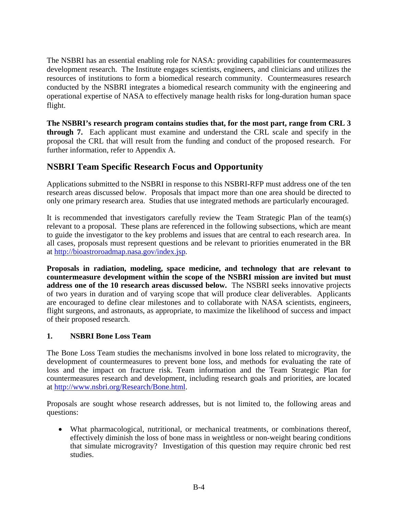The NSBRI has an essential enabling role for NASA: providing capabilities for countermeasures development research. The Institute engages scientists, engineers, and clinicians and utilizes the resources of institutions to form a biomedical research community. Countermeasures research conducted by the NSBRI integrates a biomedical research community with the engineering and operational expertise of NASA to effectively manage health risks for long-duration human space flight.

**The NSBRI's research program contains studies that, for the most part, range from CRL 3 through 7.** Each applicant must examine and understand the CRL scale and specify in the proposal the CRL that will result from the funding and conduct of the proposed research. For further information, refer to Appendix A.

# **NSBRI Team Specific Research Focus and Opportunity**

Applications submitted to the NSBRI in response to this NSBRI-RFP must address one of the ten research areas discussed below. Proposals that impact more than one area should be directed to only one primary research area. Studies that use integrated methods are particularly encouraged.

It is recommended that investigators carefully review the Team Strategic Plan of the team(s) relevant to a proposal. These plans are referenced in the following subsections, which are meant to guide the investigator to the key problems and issues that are central to each research area. In all cases, proposals must represent questions and be relevant to priorities enumerated in the BR at <http://bioastroroadmap.nasa.gov/index.jsp>.

**Proposals in radiation, modeling, space medicine, and technology that are relevant to countermeasure development within the scope of the NSBRI mission are invited but must address one of the 10 research areas discussed below.** The NSBRI seeks innovative projects of two years in duration and of varying scope that will produce clear deliverables. Applicants are encouraged to define clear milestones and to collaborate with NASA scientists, engineers, flight surgeons, and astronauts, as appropriate, to maximize the likelihood of success and impact of their proposed research.

## **1. NSBRI Bone Loss Team**

The Bone Loss Team studies the mechanisms involved in bone loss related to microgravity, the development of countermeasures to prevent bone loss, and methods for evaluating the rate of loss and the impact on fracture risk. Team information and the Team Strategic Plan for countermeasures research and development, including research goals and priorities, are located at <http://www.nsbri.org/Research/Bone.html>.

Proposals are sought whose research addresses, but is not limited to, the following areas and questions:

• What pharmacological, nutritional, or mechanical treatments, or combinations thereof, effectively diminish the loss of bone mass in weightless or non-weight bearing conditions that simulate microgravity? Investigation of this question may require chronic bed rest studies.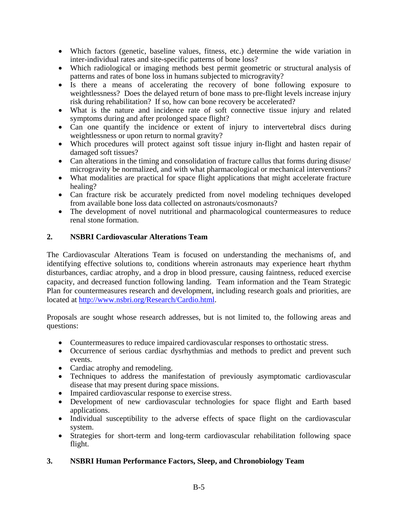- Which factors (genetic, baseline values, fitness, etc.) determine the wide variation in inter-individual rates and site-specific patterns of bone loss?
- Which radiological or imaging methods best permit geometric or structural analysis of patterns and rates of bone loss in humans subjected to microgravity?
- Is there a means of accelerating the recovery of bone following exposure to weightlessness? Does the delayed return of bone mass to pre-flight levels increase injury risk during rehabilitation? If so, how can bone recovery be accelerated?
- What is the nature and incidence rate of soft connective tissue injury and related symptoms during and after prolonged space flight?
- Can one quantify the incidence or extent of injury to intervertebral discs during weightlessness or upon return to normal gravity?
- Which procedures will protect against soft tissue injury in-flight and hasten repair of damaged soft tissues?
- Can alterations in the timing and consolidation of fracture callus that forms during disuse/ microgravity be normalized, and with what pharmacological or mechanical interventions?
- What modalities are practical for space flight applications that might accelerate fracture healing?
- Can fracture risk be accurately predicted from novel modeling techniques developed from available bone loss data collected on astronauts/cosmonauts?
- The development of novel nutritional and pharmacological countermeasures to reduce renal stone formation.

## **2. NSBRI Cardiovascular Alterations Team**

The Cardiovascular Alterations Team is focused on understanding the mechanisms of, and identifying effective solutions to, conditions wherein astronauts may experience heart rhythm disturbances, cardiac atrophy, and a drop in blood pressure, causing faintness, reduced exercise capacity, and decreased function following landing. Team information and the Team Strategic Plan for countermeasures research and development, including research goals and priorities, are located at<http://www.nsbri.org/Research/Cardio.html>.

Proposals are sought whose research addresses, but is not limited to, the following areas and questions:

- Countermeasures to reduce impaired cardiovascular responses to orthostatic stress.
- Occurrence of serious cardiac dysrhythmias and methods to predict and prevent such events.
- Cardiac atrophy and remodeling.
- Techniques to address the manifestation of previously asymptomatic cardiovascular disease that may present during space missions.
- Impaired cardiovascular response to exercise stress.
- Development of new cardiovascular technologies for space flight and Earth based applications.
- Individual susceptibility to the adverse effects of space flight on the cardiovascular system.
- Strategies for short-term and long-term cardiovascular rehabilitation following space flight.

## **3. NSBRI Human Performance Factors, Sleep, and Chronobiology Team**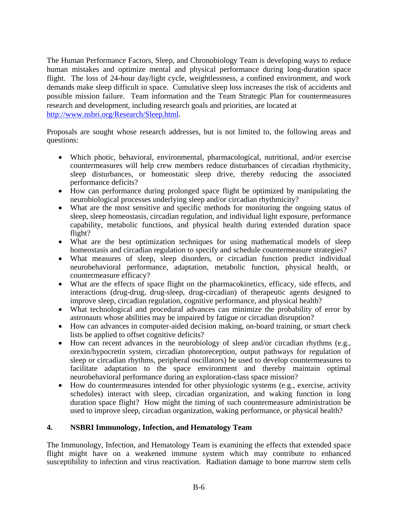The Human Performance Factors, Sleep, and Chronobiology Team is developing ways to reduce human mistakes and optimize mental and physical performance during long-duration space flight. The loss of 24-hour day/light cycle, weightlessness, a confined environment, and work demands make sleep difficult in space. Cumulative sleep loss increases the risk of accidents and possible mission failure. Team information and the Team Strategic Plan for countermeasures research and development, including research goals and priorities, are located at [http://www.nsbri.org/Research/Sleep.html.](http://www.nsbri.org/Research/Sleep.html)

Proposals are sought whose research addresses, but is not limited to, the following areas and questions:

- Which photic, behavioral, environmental, pharmacological, nutritional, and/or exercise countermeasures will help crew members reduce disturbances of circadian rhythmicity, sleep disturbances, or homeostatic sleep drive, thereby reducing the associated performance deficits?
- How can performance during prolonged space flight be optimized by manipulating the neurobiological processes underlying sleep and/or circadian rhythmicity?
- What are the most sensitive and specific methods for monitoring the ongoing status of sleep, sleep homeostasis, circadian regulation, and individual light exposure, performance capability, metabolic functions, and physical health during extended duration space flight?
- What are the best optimization techniques for using mathematical models of sleep homeostasis and circadian regulation to specify and schedule countermeasure strategies?
- What measures of sleep, sleep disorders, or circadian function predict individual neurobehavioral performance, adaptation, metabolic function, physical health, or countermeasure efficacy?
- What are the effects of space flight on the pharmacokinetics, efficacy, side effects, and interactions (drug-drug, drug-sleep, drug-circadian) of therapeutic agents designed to improve sleep, circadian regulation, cognitive performance, and physical health?
- What technological and procedural advances can minimize the probability of error by astronauts whose abilities may be impaired by fatigue or circadian disruption?
- How can advances in computer-aided decision making, on-board training, or smart check lists be applied to offset cognitive deficits?
- How can recent advances in the neurobiology of sleep and/or circadian rhythms (e.g., orexin/hypocretin system, circadian photoreception, output pathways for regulation of sleep or circadian rhythms, peripheral oscillators) be used to develop countermeasures to facilitate adaptation to the space environment and thereby maintain optimal neurobehavioral performance during an exploration-class space mission?
- How do countermeasures intended for other physiologic systems (e.g., exercise, activity schedules) interact with sleep, circadian organization, and waking function in long duration space flight? How might the timing of such countermeasure administration be used to improve sleep, circadian organization, waking performance, or physical health?

## **4. NSBRI Immunology, Infection, and Hematology Team**

The Immunology, Infection, and Hematology Team is examining the effects that extended space flight might have on a weakened immune system which may contribute to enhanced susceptibility to infection and virus reactivation. Radiation damage to bone marrow stem cells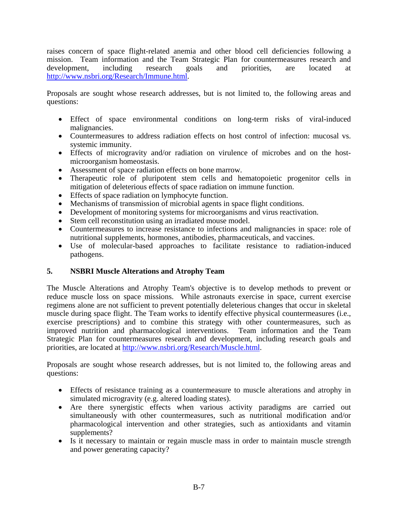raises concern of space flight-related anemia and other blood cell deficiencies following a mission. Team information and the Team Strategic Plan for countermeasures research and development, including research goals and priorities, are located at <http://www.nsbri.org/Research/Immune.html>.

Proposals are sought whose research addresses, but is not limited to, the following areas and questions:

- Effect of space environmental conditions on long-term risks of viral-induced malignancies.
- Countermeasures to address radiation effects on host control of infection: mucosal vs. systemic immunity.
- Effects of microgravity and/or radiation on virulence of microbes and on the hostmicroorganism homeostasis.
- Assessment of space radiation effects on bone marrow.
- Therapeutic role of pluripotent stem cells and hematopoietic progenitor cells in mitigation of deleterious effects of space radiation on immune function.
- Effects of space radiation on lymphocyte function.
- Mechanisms of transmission of microbial agents in space flight conditions.
- Development of monitoring systems for microorganisms and virus reactivation.
- Stem cell reconstitution using an irradiated mouse model.
- Countermeasures to increase resistance to infections and malignancies in space: role of nutritional supplements, hormones, antibodies, pharmaceuticals, and vaccines.
- Use of molecular-based approaches to facilitate resistance to radiation-induced pathogens.

## **5. NSBRI Muscle Alterations and Atrophy Team**

The Muscle Alterations and Atrophy Team's objective is to develop methods to prevent or reduce muscle loss on space missions. While astronauts exercise in space, current exercise regimens alone are not sufficient to prevent potentially deleterious changes that occur in skeletal muscle during space flight. The Team works to identify effective physical countermeasures (i.e., exercise prescriptions) and to combine this strategy with other countermeasures, such as improved nutrition and pharmacological interventions. Team information and the Team Strategic Plan for countermeasures research and development, including research goals and priorities, are located at [http://www.nsbri.org/Research/Muscle.html.](http://www.nsbri.org/Research/Muscle.html)

Proposals are sought whose research addresses, but is not limited to, the following areas and questions:

- Effects of resistance training as a countermeasure to muscle alterations and atrophy in simulated microgravity (e.g. altered loading states).
- Are there synergistic effects when various activity paradigms are carried out simultaneously with other countermeasures, such as nutritional modification and/or pharmacological intervention and other strategies, such as antioxidants and vitamin supplements?
- Is it necessary to maintain or regain muscle mass in order to maintain muscle strength and power generating capacity?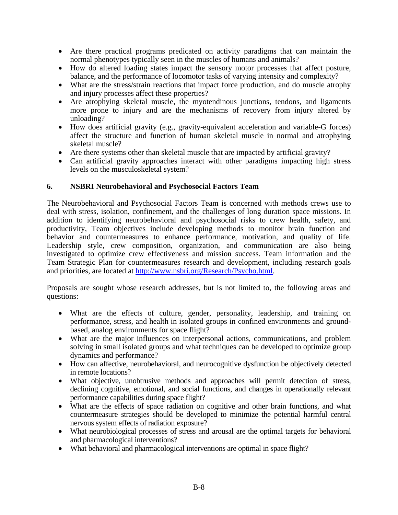- Are there practical programs predicated on activity paradigms that can maintain the normal phenotypes typically seen in the muscles of humans and animals?
- How do altered loading states impact the sensory motor processes that affect posture, balance, and the performance of locomotor tasks of varying intensity and complexity?
- What are the stress/strain reactions that impact force production, and do muscle atrophy and injury processes affect these properties?
- Are atrophying skeletal muscle, the myotendinous junctions, tendons, and ligaments more prone to injury and are the mechanisms of recovery from injury altered by unloading?
- How does artificial gravity (e.g., gravity-equivalent acceleration and variable-G forces) affect the structure and function of human skeletal muscle in normal and atrophying skeletal muscle?
- Are there systems other than skeletal muscle that are impacted by artificial gravity?
- Can artificial gravity approaches interact with other paradigms impacting high stress levels on the musculoskeletal system?

## **6. NSBRI Neurobehavioral and Psychosocial Factors Team**

The Neurobehavioral and Psychosocial Factors Team is concerned with methods crews use to deal with stress, isolation, confinement, and the challenges of long duration space missions. In addition to identifying neurobehavioral and psychosocial risks to crew health, safety, and productivity, Team objectives include developing methods to monitor brain function and behavior and countermeasures to enhance performance, motivation, and quality of life. Leadership style, crew composition, organization, and communication are also being investigated to optimize crew effectiveness and mission success. Team information and the Team Strategic Plan for countermeasures research and development, including research goals and priorities, are located at [http://www.nsbri.org/Research/Psycho.html.](http://www.nsbri.org/Research/Psycho.html)

Proposals are sought whose research addresses, but is not limited to, the following areas and questions:

- What are the effects of culture, gender, personality, leadership, and training on performance, stress, and health in isolated groups in confined environments and groundbased, analog environments for space flight?
- What are the major influences on interpersonal actions, communications, and problem solving in small isolated groups and what techniques can be developed to optimize group dynamics and performance?
- How can affective, neurobehavioral, and neurocognitive dysfunction be objectively detected in remote locations?
- What objective, unobtrusive methods and approaches will permit detection of stress, declining cognitive, emotional, and social functions, and changes in operationally relevant performance capabilities during space flight?
- What are the effects of space radiation on cognitive and other brain functions, and what countermeasure strategies should be developed to minimize the potential harmful central nervous system effects of radiation exposure?
- What neurobiological processes of stress and arousal are the optimal targets for behavioral and pharmacological interventions?
- What behavioral and pharmacological interventions are optimal in space flight?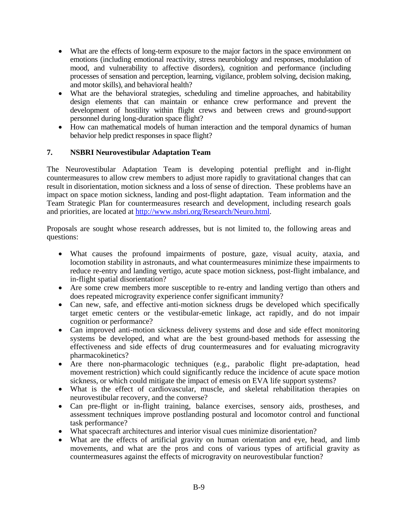- What are the effects of long-term exposure to the major factors in the space environment on emotions (including emotional reactivity, stress neurobiology and responses, modulation of mood, and vulnerability to affective disorders), cognition and performance (including processes of sensation and perception, learning, vigilance, problem solving, decision making, and motor skills), and behavioral health?
- What are the behavioral strategies, scheduling and timeline approaches, and habitability design elements that can maintain or enhance crew performance and prevent the development of hostility within flight crews and between crews and ground-support personnel during long-duration space flight?
- How can mathematical models of human interaction and the temporal dynamics of human behavior help predict responses in space flight?

## **7. NSBRI Neurovestibular Adaptation Team**

The Neurovestibular Adaptation Team is developing potential preflight and in-flight countermeasures to allow crew members to adjust more rapidly to gravitational changes that can result in disorientation, motion sickness and a loss of sense of direction. These problems have an impact on space motion sickness, landing and post-flight adaptation. Team information and the Team Strategic Plan for countermeasures research and development, including research goals and priorities, are located at [http://www.nsbri.org/Research/Neuro.html.](http://www.nsbri.org/Research/Neuro.html)

Proposals are sought whose research addresses, but is not limited to, the following areas and questions:

- What causes the profound impairments of posture, gaze, visual acuity, ataxia, and locomotion stability in astronauts, and what countermeasures minimize these impairments to reduce re-entry and landing vertigo, acute space motion sickness, post-flight imbalance, and in-flight spatial disorientation?
- Are some crew members more susceptible to re-entry and landing vertigo than others and does repeated microgravity experience confer significant immunity?
- Can new, safe, and effective anti-motion sickness drugs be developed which specifically target emetic centers or the vestibular-emetic linkage, act rapidly, and do not impair cognition or performance?
- Can improved anti-motion sickness delivery systems and dose and side effect monitoring systems be developed, and what are the best ground-based methods for assessing the effectiveness and side effects of drug countermeasures and for evaluating microgravity pharmacokinetics?
- Are there non-pharmacologic techniques (e.g., parabolic flight pre-adaptation, head movement restriction) which could significantly reduce the incidence of acute space motion sickness, or which could mitigate the impact of emesis on EVA life support systems?
- What is the effect of cardiovascular, muscle, and skeletal rehabilitation therapies on neurovestibular recovery, and the converse?
- Can pre-flight or in-flight training, balance exercises, sensory aids, prostheses, and assessment techniques improve postlanding postural and locomotor control and functional task performance?
- What spacecraft architectures and interior visual cues minimize disorientation?
- What are the effects of artificial gravity on human orientation and eye, head, and limb movements, and what are the pros and cons of various types of artificial gravity as countermeasures against the effects of microgravity on neurovestibular function?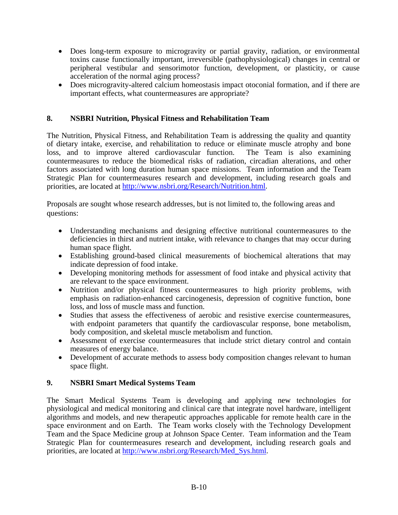- Does long-term exposure to microgravity or partial gravity, radiation, or environmental toxins cause functionally important, irreversible (pathophysiological) changes in central or peripheral vestibular and sensorimotor function, development, or plasticity, or cause acceleration of the normal aging process?
- Does microgravity-altered calcium homeostasis impact otoconial formation, and if there are important effects, what countermeasures are appropriate?

## **8. NSBRI Nutrition, Physical Fitness and Rehabilitation Team**

The Nutrition, Physical Fitness, and Rehabilitation Team is addressing the quality and quantity of dietary intake, exercise, and rehabilitation to reduce or eliminate muscle atrophy and bone loss, and to improve altered cardiovascular function. The Team is also examining countermeasures to reduce the biomedical risks of radiation, circadian alterations, and other factors associated with long duration human space missions. Team information and the Team Strategic Plan for countermeasures research and development, including research goals and priorities, are located at [http://www.nsbri.org/Research/Nutrition.html.](http://www.nsbri.org/Research/Nutrition.html)

Proposals are sought whose research addresses, but is not limited to, the following areas and questions:

- Understanding mechanisms and designing effective nutritional countermeasures to the deficiencies in thirst and nutrient intake, with relevance to changes that may occur during human space flight.
- Establishing ground-based clinical measurements of biochemical alterations that may indicate depression of food intake.
- Developing monitoring methods for assessment of food intake and physical activity that are relevant to the space environment.
- Nutrition and/or physical fitness countermeasures to high priority problems, with emphasis on radiation-enhanced carcinogenesis, depression of cognitive function, bone loss, and loss of muscle mass and function.
- Studies that assess the effectiveness of aerobic and resistive exercise countermeasures, with endpoint parameters that quantify the cardiovascular response, bone metabolism, body composition, and skeletal muscle metabolism and function.
- Assessment of exercise countermeasures that include strict dietary control and contain measures of energy balance.
- Development of accurate methods to assess body composition changes relevant to human space flight.

## **9. NSBRI Smart Medical Systems Team**

The Smart Medical Systems Team is developing and applying new technologies for physiological and medical monitoring and clinical care that integrate novel hardware, intelligent algorithms and models, and new therapeutic approaches applicable for remote health care in the space environment and on Earth. The Team works closely with the Technology Development Team and the Space Medicine group at Johnson Space Center. Team information and the Team Strategic Plan for countermeasures research and development, including research goals and priorities, are located at [http://www.nsbri.org/Research/Med\\_Sys.html.](http://www.nsbri.org/Research/Med_Sys.html)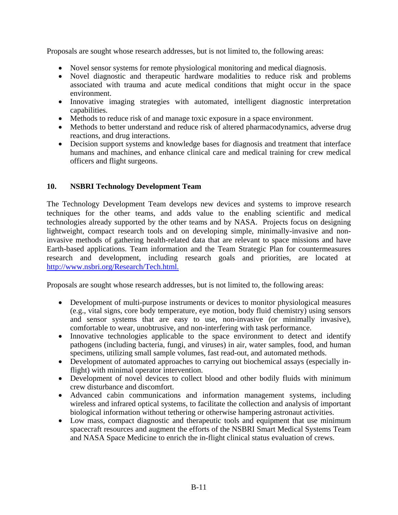Proposals are sought whose research addresses, but is not limited to, the following areas:

- Novel sensor systems for remote physiological monitoring and medical diagnosis.
- Novel diagnostic and therapeutic hardware modalities to reduce risk and problems associated with trauma and acute medical conditions that might occur in the space environment.
- Innovative imaging strategies with automated, intelligent diagnostic interpretation capabilities.
- Methods to reduce risk of and manage toxic exposure in a space environment.
- Methods to better understand and reduce risk of altered pharmacodynamics, adverse drug reactions, and drug interactions.
- Decision support systems and knowledge bases for diagnosis and treatment that interface humans and machines, and enhance clinical care and medical training for crew medical officers and flight surgeons.

## **10. NSBRI Technology Development Team**

The Technology Development Team develops new devices and systems to improve research techniques for the other teams, and adds value to the enabling scientific and medical technologies already supported by the other teams and by NASA. Projects focus on designing lightweight, compact research tools and on developing simple, minimally-invasive and noninvasive methods of gathering health-related data that are relevant to space missions and have Earth-based applications. Team information and the Team Strategic Plan for countermeasures research and development, including research goals and priorities, are located at [http://www.nsbri.org/Research/Tech.html.](http://www.nsbri.org/)

Proposals are sought whose research addresses, but is not limited to, the following areas:

- Development of multi-purpose instruments or devices to monitor physiological measures (e.g., vital signs, core body temperature, eye motion, body fluid chemistry) using sensors and sensor systems that are easy to use, non-invasive (or minimally invasive), comfortable to wear, unobtrusive, and non-interfering with task performance.
- Innovative technologies applicable to the space environment to detect and identify pathogens (including bacteria, fungi, and viruses) in air, water samples, food, and human specimens, utilizing small sample volumes, fast read-out, and automated methods.
- Development of automated approaches to carrying out biochemical assays (especially inflight) with minimal operator intervention.
- Development of novel devices to collect blood and other bodily fluids with minimum crew disturbance and discomfort.
- Advanced cabin communications and information management systems, including wireless and infrared optical systems, to facilitate the collection and analysis of important biological information without tethering or otherwise hampering astronaut activities.
- Low mass, compact diagnostic and therapeutic tools and equipment that use minimum spacecraft resources and augment the efforts of the NSBRI Smart Medical Systems Team and NASA Space Medicine to enrich the in-flight clinical status evaluation of crews.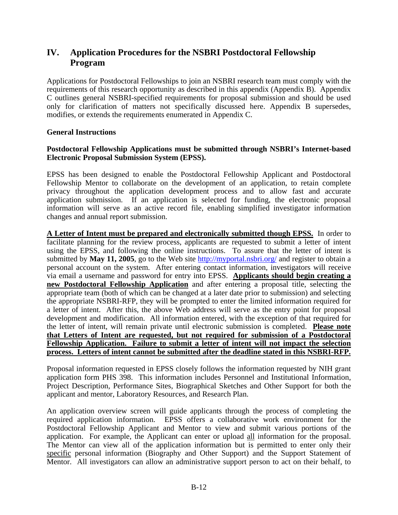# **IV. Application Procedures for the NSBRI Postdoctoral Fellowship Program**

Applications for Postdoctoral Fellowships to join an NSBRI research team must comply with the requirements of this research opportunity as described in this appendix (Appendix B). Appendix C outlines general NSBRI-specified requirements for proposal submission and should be used only for clarification of matters not specifically discussed here. Appendix B supersedes, modifies, or extends the requirements enumerated in Appendix C.

### **General Instructions**

#### **Postdoctoral Fellowship Applications must be submitted through NSBRI's Internet-based Electronic Proposal Submission System (EPSS).**

EPSS has been designed to enable the Postdoctoral Fellowship Applicant and Postdoctoral Fellowship Mentor to collaborate on the development of an application, to retain complete privacy throughout the application development process and to allow fast and accurate application submission. If an application is selected for funding, the electronic proposal information will serve as an active record file, enabling simplified investigator information changes and annual report submission.

**A Letter of Intent must be prepared and electronically submitted though EPSS.** In order to facilitate planning for the review process, applicants are requested to submit a letter of intent using the EPSS, and following the online instructions. To assure that the letter of intent is submitted by **May 11, 2005**, go to the Web site<http://myportal.nsbri.org/>and register to obtain a personal account on the system. After entering contact information, investigators will receive via email a username and password for entry into EPSS. **Applicants should begin creating a new Postdoctoral Fellowship Application** and after entering a proposal title, selecting the appropriate team (both of which can be changed at a later date prior to submission) and selecting the appropriate NSBRI-RFP, they will be prompted to enter the limited information required for a letter of intent. After this, the above Web address will serve as the entry point for proposal development and modification. All information entered, with the exception of that required for the letter of intent, will remain private until electronic submission is completed. **Please note that Letters of Intent are requested, but not required for submission of a Postdoctoral Fellowship Application. Failure to submit a letter of intent will not impact the selection process. Letters of intent cannot be submitted after the deadline stated in this NSBRI-RFP.**

Proposal information requested in EPSS closely follows the information requested by NIH grant application form PHS 398. This information includes Personnel and Institutional Information, Project Description, Performance Sites, Biographical Sketches and Other Support for both the applicant and mentor, Laboratory Resources, and Research Plan.

An application overview screen will guide applicants through the process of completing the required application information. EPSS offers a collaborative work environment for the Postdoctoral Fellowship Applicant and Mentor to view and submit various portions of the application. For example, the Applicant can enter or upload all information for the proposal. The Mentor can view all of the application information but is permitted to enter only their specific personal information (Biography and Other Support) and the Support Statement of Mentor. All investigators can allow an administrative support person to act on their behalf, to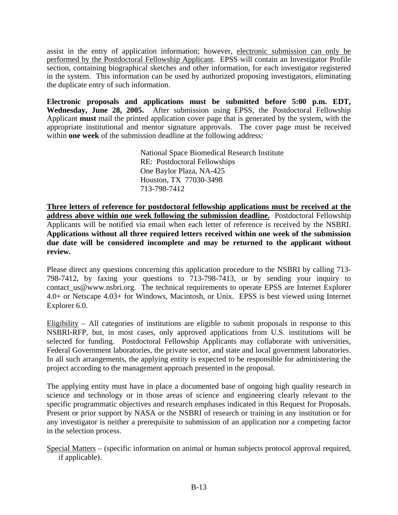assist in the entry of application information; however, electronic submission can only be performed by the Postdoctoral Fellowship Applicant. EPSS will contain an Investigator Profile section, containing biographical sketches and other information, for each investigator registered in the system. This information can be used by authorized proposing investigators, eliminating the duplicate entry of such information.

**Electronic proposals and applications must be submitted before 5:00 p.m. EDT,** Wednesday, June 28, 2005. After submission using EPSS, the Postdoctoral Fellowship Applicant **must** mail the printed application cover page that is generated by the system, with the appropriate institutional and mentor signature approvals. The cover page must be received within **one week** of the submission deadline at the following address:

> National Space Biomedical Research Institute RE: Postdoctoral Fellowships One Baylor Plaza, NA-425 Houston, TX 77030-3498 713-798-7412

**Three letters of reference for postdoctoral fellowship applications must be received at the address above within one week following the submission deadline.** Postdoctoral Fellowship Applicants will be notified via email when each letter of reference is received by the NSBRI. **Applications without all three required letters received within one week of the submission due date will be considered incomplete and may be returned to the applicant without review.**

Please direct any questions concerning this application procedure to the NSBRI by calling 713- 798-7412, by faxing your questions to 713-798-7413, or by sending your inquiry to contact\_us@www.nsbri.org. The technical requirements to operate EPSS are Internet Explorer 4.0+ or Netscape 4.03+ for Windows, Macintosh, or Unix. EPSS is best viewed using Internet Explorer 6.0.

Eligibility – All categories of institutions are eligible to submit proposals in response to this NSBRI-RFP, but, in most cases, only approved applications from U.S. institutions will be selected for funding. Postdoctoral Fellowship Applicants may collaborate with universities, Federal Government laboratories, the private sector, and state and local government laboratories. In all such arrangements, the applying entity is expected to be responsible for administering the project according to the management approach presented in the proposal.

The applying entity must have in place a documented base of ongoing high quality research in science and technology or in those areas of science and engineering clearly relevant to the specific programmatic objectives and research emphases indicated in this Request for Proposals. Present or prior support by NASA or the NSBRI of research or training in any institution or for any investigator is neither a prerequisite to submission of an application nor a competing factor in the selection process.

Special Matters – (specific information on animal or human subjects protocol approval required, if applicable).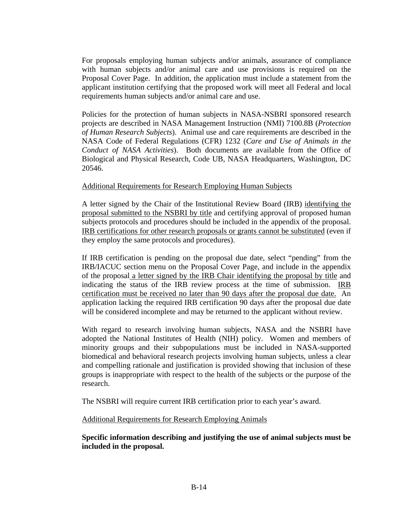For proposals employing human subjects and/or animals, assurance of compliance with human subjects and/or animal care and use provisions is required on the Proposal Cover Page. In addition, the application must include a statement from the applicant institution certifying that the proposed work will meet all Federal and local requirements human subjects and/or animal care and use.

Policies for the protection of human subjects in NASA-NSBRI sponsored research projects are described in NASA Management Instruction (NMI) 7100.8B (*Protection of Human Research Subjects*). Animal use and care requirements are described in the NASA Code of Federal Regulations (CFR) 1232 (*Care and Use of Animals in the Conduct of NASA Activities*). Both documents are available from the Office of Biological and Physical Research, Code UB, NASA Headquarters, Washington, DC 20546.

#### Additional Requirements for Research Employing Human Subjects

A letter signed by the Chair of the Institutional Review Board (IRB) identifying the proposal submitted to the NSBRI by title and certifying approval of proposed human subjects protocols and procedures should be included in the appendix of the proposal. IRB certifications for other research proposals or grants cannot be substituted (even if they employ the same protocols and procedures).

If IRB certification is pending on the proposal due date, select "pending" from the IRB/IACUC section menu on the Proposal Cover Page, and include in the appendix of the proposal a letter signed by the IRB Chair identifying the proposal by title and indicating the status of the IRB review process at the time of submission. IRB certification must be received no later than 90 days after the proposal due date. An application lacking the required IRB certification 90 days after the proposal due date will be considered incomplete and may be returned to the applicant without review.

With regard to research involving human subjects, NASA and the NSBRI have adopted the National Institutes of Health (NIH) policy. Women and members of minority groups and their subpopulations must be included in NASA-supported biomedical and behavioral research projects involving human subjects, unless a clear and compelling rationale and justification is provided showing that inclusion of these groups is inappropriate with respect to the health of the subjects or the purpose of the research.

The NSBRI will require current IRB certification prior to each year's award.

Additional Requirements for Research Employing Animals

**Specific information describing and justifying the use of animal subjects must be included in the proposal.**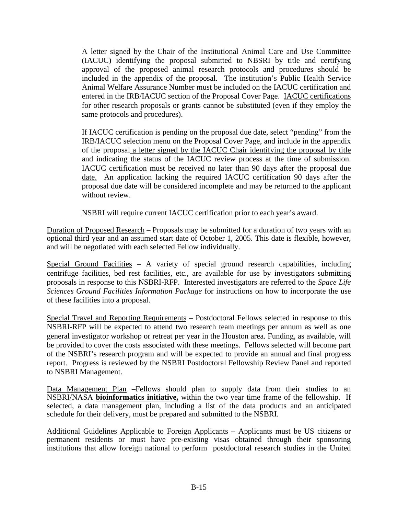A letter signed by the Chair of the Institutional Animal Care and Use Committee (IACUC) identifying the proposal submitted to NBSRI by title and certifying approval of the proposed animal research protocols and procedures should be included in the appendix of the proposal. The institution's Public Health Service Animal Welfare Assurance Number must be included on the IACUC certification and entered in the IRB/IACUC section of the Proposal Cover Page. IACUC certifications for other research proposals or grants cannot be substituted (even if they employ the same protocols and procedures).

If IACUC certification is pending on the proposal due date, select "pending" from the IRB/IACUC selection menu on the Proposal Cover Page, and include in the appendix of the proposal a letter signed by the IACUC Chair identifying the proposal by title and indicating the status of the IACUC review process at the time of submission. IACUC certification must be received no later than 90 days after the proposal due date. An application lacking the required IACUC certification 90 days after the proposal due date will be considered incomplete and may be returned to the applicant without review.

NSBRI will require current IACUC certification prior to each year's award.

Duration of Proposed Research – Proposals may be submitted for a duration of two years with an optional third year and an assumed start date of October 1, 2005. This date is flexible, however, and will be negotiated with each selected Fellow individually.

Special Ground Facilities - A variety of special ground research capabilities, including centrifuge facilities, bed rest facilities, etc., are available for use by investigators submitting proposals in response to this NSBRI-RFP. Interested investigators are referred to the *Space Life Sciences Ground Facilities Information Package* for instructions on how to incorporate the use of these facilities into a proposal.

Special Travel and Reporting Requirements – Postdoctoral Fellows selected in response to this NSBRI-RFP will be expected to attend two research team meetings per annum as well as one general investigator workshop or retreat per year in the Houston area. Funding, as available, will be provided to cover the costs associated with these meetings. Fellows selected will become part of the NSBRI's research program and will be expected to provide an annual and final progress report. Progress is reviewed by the NSBRI Postdoctoral Fellowship Review Panel and reported to NSBRI Management.

Data Management Plan –Fellows should plan to supply data from their studies to an NSBRI/NASA **bioinformatics initiative,** within the two year time frame of the fellowship. If selected, a data management plan, including a list of the data products and an anticipated schedule for their delivery, must be prepared and submitted to the NSBRI.

Additional Guidelines Applicable to Foreign Applicants – Applicants must be US citizens or permanent residents or must have pre-existing visas obtained through their sponsoring institutions that allow foreign national to perform postdoctoral research studies in the United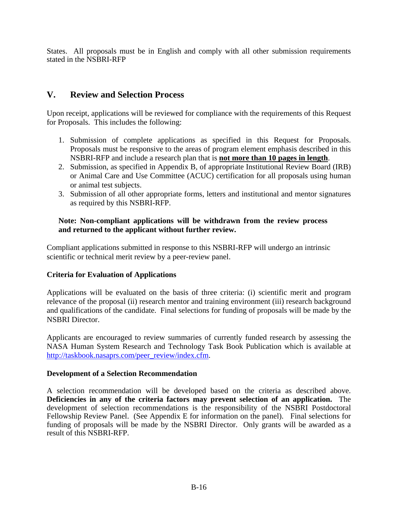States. All proposals must be in English and comply with all other submission requirements stated in the NSBRI-RFP

# **V. Review and Selection Process**

Upon receipt, applications will be reviewed for compliance with the requirements of this Request for Proposals. This includes the following:

- 1. Submission of complete applications as specified in this Request for Proposals. Proposals must be responsive to the areas of program element emphasis described in this NSBRI-RFP and include a research plan that is **not more than 10 pages in length**.
- 2. Submission, as specified in Appendix B, of appropriate Institutional Review Board (IRB) or Animal Care and Use Committee (ACUC) certification for all proposals using human or animal test subjects.
- 3. Submission of all other appropriate forms, letters and institutional and mentor signatures as required by this NSBRI-RFP.

## **Note: Non-compliant applications will be withdrawn from the review process and returned to the applicant without further review.**

Compliant applications submitted in response to this NSBRI-RFP will undergo an intrinsic scientific or technical merit review by a peer-review panel.

## **Criteria for Evaluation of Applications**

Applications will be evaluated on the basis of three criteria: (i) scientific merit and program relevance of the proposal (ii) research mentor and training environment (iii) research background and qualifications of the candidate. Final selections for funding of proposals will be made by the NSBRI Director.

Applicants are encouraged to review summaries of currently funded research by assessing the NASA Human System Research and Technology Task Book Publication which is available at [http://taskbook.nasaprs.com/peer\\_review/index.cfm.](http://taskbook.nasaprs.com/peer_review/index.cfm)

## **Development of a Selection Recommendation**

A selection recommendation will be developed based on the criteria as described above. **Deficiencies in any of the criteria factors may prevent selection of an application.** The development of selection recommendations is the responsibility of the NSBRI Postdoctoral Fellowship Review Panel. (See Appendix E for information on the panel). Final selections for funding of proposals will be made by the NSBRI Director. Only grants will be awarded as a result of this NSBRI-RFP.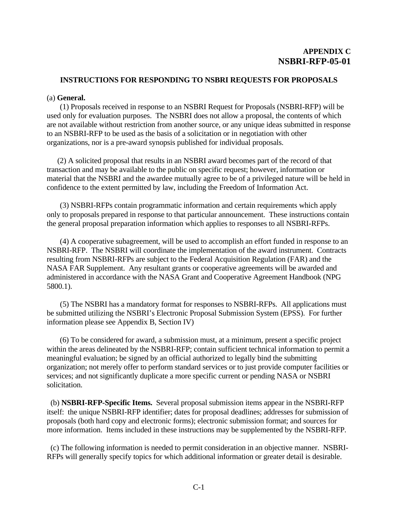#### **INSTRUCTIONS FOR RESPONDING TO NSBRI REQUESTS FOR PROPOSALS**

#### (a) **General.**

 (1) Proposals received in response to an NSBRI Request for Proposals (NSBRI-RFP) will be used only for evaluation purposes. The NSBRI does not allow a proposal, the contents of which are not available without restriction from another source, or any unique ideas submitted in response to an NSBRI-RFP to be used as the basis of a solicitation or in negotiation with other organizations, nor is a pre-award synopsis published for individual proposals.

(2) A solicited proposal that results in an NSBRI award becomes part of the record of that transaction and may be available to the public on specific request; however, information or material that the NSBRI and the awardee mutually agree to be of a privileged nature will be held in confidence to the extent permitted by law, including the Freedom of Information Act.

(3) NSBRI-RFPs contain programmatic information and certain requirements which apply only to proposals prepared in response to that particular announcement. These instructions contain the general proposal preparation information which applies to responses to all NSBRI-RFPs.

(4) A cooperative subagreement, will be used to accomplish an effort funded in response to an NSBRI-RFP. The NSBRI will coordinate the implementation of the award instrument. Contracts resulting from NSBRI-RFPs are subject to the Federal Acquisition Regulation (FAR) and the NASA FAR Supplement. Any resultant grants or cooperative agreements will be awarded and administered in accordance with the NASA Grant and Cooperative Agreement Handbook (NPG 5800.1).

 (5) The NSBRI has a mandatory format for responses to NSBRI-RFPs. All applications must be submitted utilizing the NSBRI's Electronic Proposal Submission System (EPSS). For further information please see Appendix B, Section IV)

 (6) To be considered for award, a submission must, at a minimum, present a specific project within the areas delineated by the NSBRI-RFP; contain sufficient technical information to permit a meaningful evaluation; be signed by an official authorized to legally bind the submitting organization; not merely offer to perform standard services or to just provide computer facilities or services; and not significantly duplicate a more specific current or pending NASA or NSBRI solicitation.

 (b) **NSBRI-RFP-Specific Items.** Several proposal submission items appear in the NSBRI-RFP itself: the unique NSBRI-RFP identifier; dates for proposal deadlines; addresses for submission of proposals (both hard copy and electronic forms); electronic submission format; and sources for more information. Items included in these instructions may be supplemented by the NSBRI-RFP.

 (c) The following information is needed to permit consideration in an objective manner. NSBRI-RFPs will generally specify topics for which additional information or greater detail is desirable.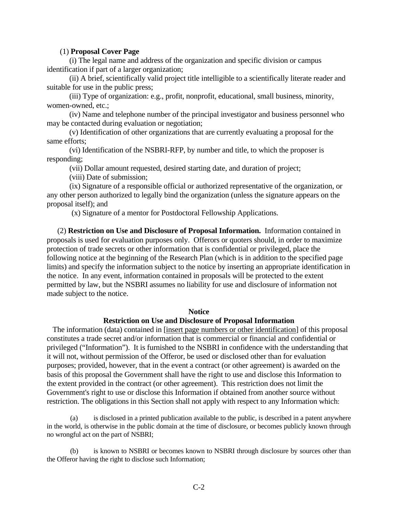#### (1) **Proposal Cover Page**

 (i) The legal name and address of the organization and specific division or campus identification if part of a larger organization;

 (ii) A brief, scientifically valid project title intelligible to a scientifically literate reader and suitable for use in the public press;

 (iii) Type of organization: e.g., profit, nonprofit, educational, small business, minority, women-owned, etc.;

 (iv) Name and telephone number of the principal investigator and business personnel who may be contacted during evaluation or negotiation;

 (v) Identification of other organizations that are currently evaluating a proposal for the same efforts;

 (vi) Identification of the NSBRI-RFP, by number and title, to which the proposer is responding;

(vii) Dollar amount requested, desired starting date, and duration of project;

(viii) Date of submission;

 (ix) Signature of a responsible official or authorized representative of the organization, or any other person authorized to legally bind the organization (unless the signature appears on the proposal itself); and

(x) Signature of a mentor for Postdoctoral Fellowship Applications.

 (2) **Restriction on Use and Disclosure of Proposal Information.** Information contained in proposals is used for evaluation purposes only. Offerors or quoters should, in order to maximize protection of trade secrets or other information that is confidential or privileged, place the following notice at the beginning of the Research Plan (which is in addition to the specified page limits) and specify the information subject to the notice by inserting an appropriate identification in the notice. In any event, information contained in proposals will be protected to the extent permitted by law, but the NSBRI assumes no liability for use and disclosure of information not made subject to the notice.

#### **Notice**

#### **Restriction on Use and Disclosure of Proposal Information**

The information (data) contained in [insert page numbers or other identification] of this proposal constitutes a trade secret and/or information that is commercial or financial and confidential or privileged ("Information"). It is furnished to the NSBRI in confidence with the understanding that it will not, without permission of the Offeror, be used or disclosed other than for evaluation purposes; provided, however, that in the event a contract (or other agreement) is awarded on the basis of this proposal the Government shall have the right to use and disclose this Information to the extent provided in the contract (or other agreement). This restriction does not limit the Government's right to use or disclose this Information if obtained from another source without restriction. The obligations in this Section shall not apply with respect to any Information which:

(a) is disclosed in a printed publication available to the public, is described in a patent anywhere in the world, is otherwise in the public domain at the time of disclosure, or becomes publicly known through no wrongful act on the part of NSBRI;

(b) is known to NSBRI or becomes known to NSBRI through disclosure by sources other than the Offeror having the right to disclose such Information;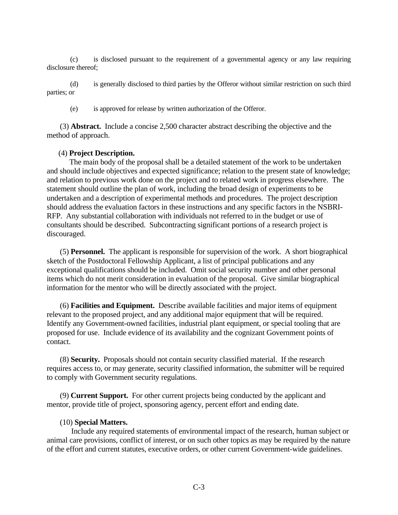(c) is disclosed pursuant to the requirement of a governmental agency or any law requiring disclosure thereof<sup>.</sup>

(d) is generally disclosed to third parties by the Offeror without similar restriction on such third parties; or

(e) is approved for release by written authorization of the Offeror.

 (3) **Abstract.** Include a concise 2,500 character abstract describing the objective and the method of approach.

#### (4) **Project Description.**

 The main body of the proposal shall be a detailed statement of the work to be undertaken and should include objectives and expected significance; relation to the present state of knowledge; and relation to previous work done on the project and to related work in progress elsewhere. The statement should outline the plan of work, including the broad design of experiments to be undertaken and a description of experimental methods and procedures. The project description should address the evaluation factors in these instructions and any specific factors in the NSBRI-RFP. Any substantial collaboration with individuals not referred to in the budget or use of consultants should be described. Subcontracting significant portions of a research project is discouraged.

 (5) **Personnel.** The applicant is responsible for supervision of the work. A short biographical sketch of the Postdoctoral Fellowship Applicant, a list of principal publications and any exceptional qualifications should be included. Omit social security number and other personal items which do not merit consideration in evaluation of the proposal. Give similar biographical information for the mentor who will be directly associated with the project.

 (6) **Facilities and Equipment.** Describe available facilities and major items of equipment relevant to the proposed project, and any additional major equipment that will be required. Identify any Government-owned facilities, industrial plant equipment, or special tooling that are proposed for use. Include evidence of its availability and the cognizant Government points of contact.

 (8) **Security.** Proposals should not contain security classified material. If the research requires access to, or may generate, security classified information, the submitter will be required to comply with Government security regulations.

 (9) **Current Support.** For other current projects being conducted by the applicant and mentor, provide title of project, sponsoring agency, percent effort and ending date.

#### (10) **Special Matters.**

 Include any required statements of environmental impact of the research, human subject or animal care provisions, conflict of interest, or on such other topics as may be required by the nature of the effort and current statutes, executive orders, or other current Government-wide guidelines.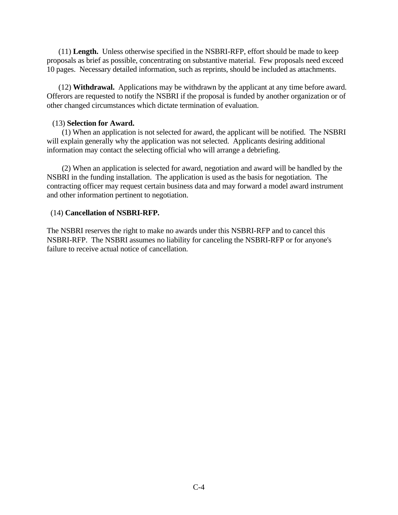(11) **Length.** Unless otherwise specified in the NSBRI-RFP, effort should be made to keep proposals as brief as possible, concentrating on substantive material. Few proposals need exceed 10 pages. Necessary detailed information, such as reprints, should be included as attachments.

 (12) **Withdrawal.** Applications may be withdrawn by the applicant at any time before award. Offerors are requested to notify the NSBRI if the proposal is funded by another organization or of other changed circumstances which dictate termination of evaluation.

#### (13) **Selection for Award.**

 (1) When an application is not selected for award, the applicant will be notified. The NSBRI will explain generally why the application was not selected. Applicants desiring additional information may contact the selecting official who will arrange a debriefing.

 (2) When an application is selected for award, negotiation and award will be handled by the NSBRI in the funding installation. The application is used as the basis for negotiation. The contracting officer may request certain business data and may forward a model award instrument and other information pertinent to negotiation.

#### (14) **Cancellation of NSBRI-RFP.**

The NSBRI reserves the right to make no awards under this NSBRI-RFP and to cancel this NSBRI-RFP. The NSBRI assumes no liability for canceling the NSBRI-RFP or for anyone's failure to receive actual notice of cancellation.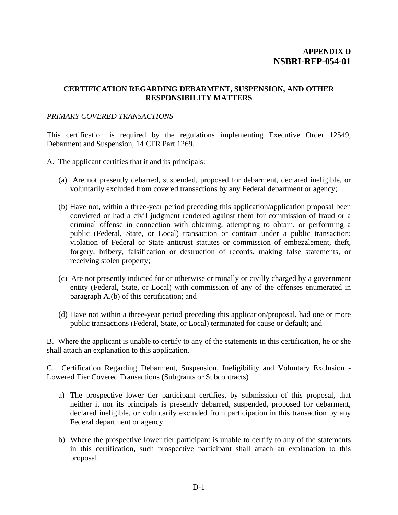### **CERTIFICATION REGARDING DEBARMENT, SUSPENSION, AND OTHER RESPONSIBILITY MATTERS**

#### *PRIMARY COVERED TRANSACTIONS*

This certification is required by the regulations implementing Executive Order 12549, Debarment and Suspension, 14 CFR Part 1269.

- A. The applicant certifies that it and its principals:
	- (a) Are not presently debarred, suspended, proposed for debarment, declared ineligible, or voluntarily excluded from covered transactions by any Federal department or agency;
	- (b) Have not, within a three-year period preceding this application/application proposal been convicted or had a civil judgment rendered against them for commission of fraud or a criminal offense in connection with obtaining, attempting to obtain, or performing a public (Federal, State, or Local) transaction or contract under a public transaction; violation of Federal or State antitrust statutes or commission of embezzlement, theft, forgery, bribery, falsification or destruction of records, making false statements, or receiving stolen property;
	- (c) Are not presently indicted for or otherwise criminally or civilly charged by a government entity (Federal, State, or Local) with commission of any of the offenses enumerated in paragraph A.(b) of this certification; and
	- (d) Have not within a three-year period preceding this application/proposal, had one or more public transactions (Federal, State, or Local) terminated for cause or default; and

B. Where the applicant is unable to certify to any of the statements in this certification, he or she shall attach an explanation to this application.

C. Certification Regarding Debarment, Suspension, Ineligibility and Voluntary Exclusion - Lowered Tier Covered Transactions (Subgrants or Subcontracts)

- a) The prospective lower tier participant certifies, by submission of this proposal, that neither it nor its principals is presently debarred, suspended, proposed for debarment, declared ineligible, or voluntarily excluded from participation in this transaction by any Federal department or agency.
- b) Where the prospective lower tier participant is unable to certify to any of the statements in this certification, such prospective participant shall attach an explanation to this proposal.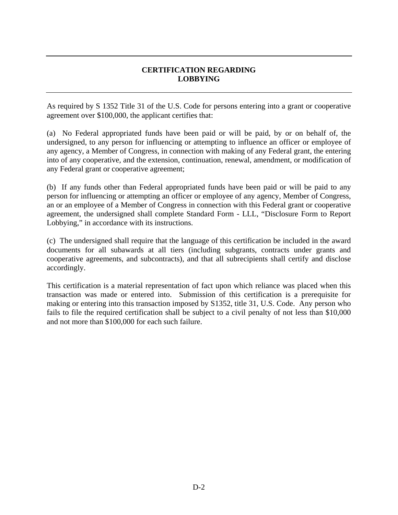## **CERTIFICATION REGARDING LOBBYING**

As required by S 1352 Title 31 of the U.S. Code for persons entering into a grant or cooperative agreement over \$100,000, the applicant certifies that:

(a) No Federal appropriated funds have been paid or will be paid, by or on behalf of, the undersigned, to any person for influencing or attempting to influence an officer or employee of any agency, a Member of Congress, in connection with making of any Federal grant, the entering into of any cooperative, and the extension, continuation, renewal, amendment, or modification of any Federal grant or cooperative agreement;

(b) If any funds other than Federal appropriated funds have been paid or will be paid to any person for influencing or attempting an officer or employee of any agency, Member of Congress, an or an employee of a Member of Congress in connection with this Federal grant or cooperative agreement, the undersigned shall complete Standard Form - LLL, "Disclosure Form to Report Lobbying," in accordance with its instructions.

(c) The undersigned shall require that the language of this certification be included in the award documents for all subawards at all tiers (including subgrants, contracts under grants and cooperative agreements, and subcontracts), and that all subrecipients shall certify and disclose accordingly.

This certification is a material representation of fact upon which reliance was placed when this transaction was made or entered into. Submission of this certification is a prerequisite for making or entering into this transaction imposed by S1352, title 31, U.S. Code. Any person who fails to file the required certification shall be subject to a civil penalty of not less than \$10,000 and not more than \$100,000 for each such failure.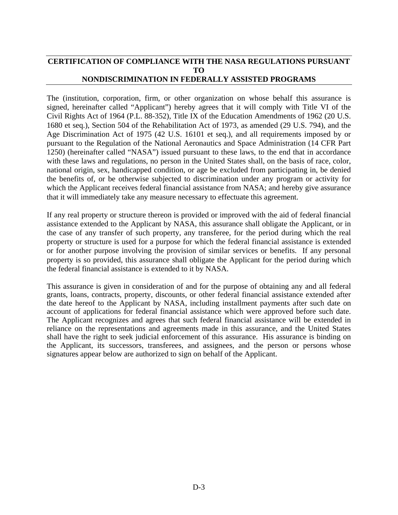### **CERTIFICATION OF COMPLIANCE WITH THE NASA REGULATIONS PURSUANT TO NONDISCRIMINATION IN FEDERALLY ASSISTED PROGRAMS**

The (institution, corporation, firm, or other organization on whose behalf this assurance is signed, hereinafter called "Applicant") hereby agrees that it will comply with Title VI of the Civil Rights Act of 1964 (P.L. 88-352), Title IX of the Education Amendments of 1962 (20 U.S. 1680 et seq.), Section 504 of the Rehabilitation Act of 1973, as amended (29 U.S. 794), and the Age Discrimination Act of 1975 (42 U.S. 16101 et seq.), and all requirements imposed by or pursuant to the Regulation of the National Aeronautics and Space Administration (14 CFR Part 1250) (hereinafter called "NASA") issued pursuant to these laws, to the end that in accordance with these laws and regulations, no person in the United States shall, on the basis of race, color, national origin, sex, handicapped condition, or age be excluded from participating in, be denied the benefits of, or be otherwise subjected to discrimination under any program or activity for which the Applicant receives federal financial assistance from NASA; and hereby give assurance that it will immediately take any measure necessary to effectuate this agreement.

If any real property or structure thereon is provided or improved with the aid of federal financial assistance extended to the Applicant by NASA, this assurance shall obligate the Applicant, or in the case of any transfer of such property, any transferee, for the period during which the real property or structure is used for a purpose for which the federal financial assistance is extended or for another purpose involving the provision of similar services or benefits. If any personal property is so provided, this assurance shall obligate the Applicant for the period during which the federal financial assistance is extended to it by NASA.

This assurance is given in consideration of and for the purpose of obtaining any and all federal grants, loans, contracts, property, discounts, or other federal financial assistance extended after the date hereof to the Applicant by NASA, including installment payments after such date on account of applications for federal financial assistance which were approved before such date. The Applicant recognizes and agrees that such federal financial assistance will be extended in reliance on the representations and agreements made in this assurance, and the United States shall have the right to seek judicial enforcement of this assurance. His assurance is binding on the Applicant, its successors, transferees, and assignees, and the person or persons whose signatures appear below are authorized to sign on behalf of the Applicant.